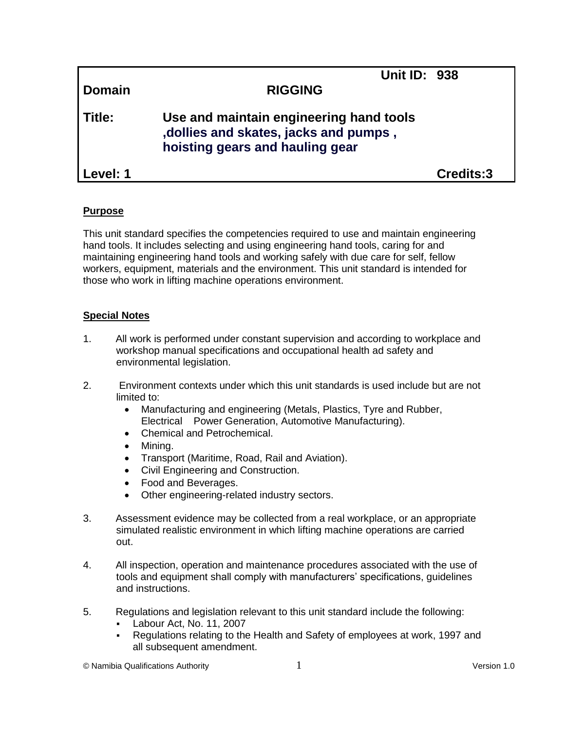| Domain     | <b>Unit ID: 938</b><br><b>RIGGING</b>                                                                                |           |
|------------|----------------------------------------------------------------------------------------------------------------------|-----------|
| Title:     | Use and maintain engineering hand tools<br>, dollies and skates, jacks and pumps,<br>hoisting gears and hauling gear |           |
| l Level: 1 |                                                                                                                      | Credits:3 |

# **Purpose**

This unit standard specifies the competencies required to use and maintain engineering hand tools. It includes selecting and using engineering hand tools, caring for and maintaining engineering hand tools and working safely with due care for self, fellow workers, equipment, materials and the environment. This unit standard is intended for those who work in lifting machine operations environment.

# **Special Notes**

- 1. All work is performed under constant supervision and according to workplace and workshop manual specifications and occupational health ad safety and environmental legislation.
- 2. Environment contexts under which this unit standards is used include but are not limited to:
	- Manufacturing and engineering (Metals, Plastics, Tyre and Rubber, Electrical Power Generation, Automotive Manufacturing).
	- Chemical and Petrochemical.
	- Mining.
	- Transport (Maritime, Road, Rail and Aviation).
	- Civil Engineering and Construction.
	- Food and Beverages.
	- Other engineering-related industry sectors.
- 3. Assessment evidence may be collected from a real workplace, or an appropriate simulated realistic environment in which lifting machine operations are carried out.
- 4. All inspection, operation and maintenance procedures associated with the use of tools and equipment shall comply with manufacturers' specifications, guidelines and instructions.
- 5. Regulations and legislation relevant to this unit standard include the following:
	- Labour Act, No. 11, 2007
	- Regulations relating to the Health and Safety of employees at work, 1997 and all subsequent amendment.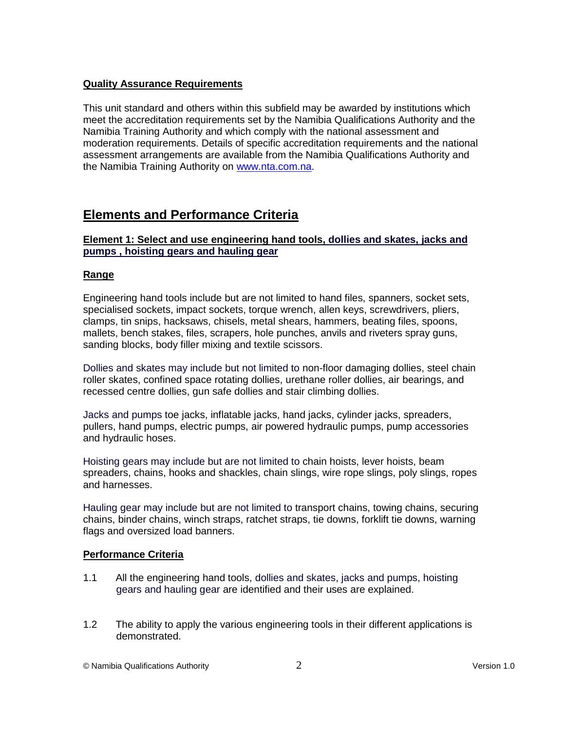# **Quality Assurance Requirements**

This unit standard and others within this subfield may be awarded by institutions which meet the accreditation requirements set by the Namibia Qualifications Authority and the Namibia Training Authority and which comply with the national assessment and moderation requirements. Details of specific accreditation requirements and the national assessment arrangements are available from the Namibia Qualifications Authority and the Namibia Training Authority on [www.nta.com.na.](http://www.nta.com.na/)

# **Elements and Performance Criteria**

### **Element 1: Select and use engineering hand tools, dollies and skates, jacks and pumps , hoisting gears and hauling gear**

### **Range**

Engineering hand tools include but are not limited to hand files, spanners, socket sets, specialised sockets, impact sockets, torque wrench, allen keys, screwdrivers, pliers, clamps, tin snips, hacksaws, chisels, metal shears, hammers, beating files, spoons, mallets, bench stakes, files, scrapers, hole punches, anvils and riveters spray guns, sanding blocks, body filler mixing and textile scissors.

Dollies and skates may include but not limited to non-floor damaging dollies, steel chain roller skates, confined space rotating dollies, urethane roller dollies, air bearings, and recessed centre dollies, gun safe dollies and stair climbing dollies.

Jacks and pumps toe jacks, inflatable jacks, hand jacks, cylinder jacks, spreaders, pullers, hand pumps, electric pumps, air powered hydraulic pumps, pump accessories and hydraulic hoses.

Hoisting gears may include but are not limited to chain hoists, lever hoists, beam spreaders, chains, hooks and shackles, chain slings, wire rope slings, poly slings, ropes and harnesses.

Hauling gear may include but are not limited to transport chains, towing chains, securing chains, binder chains, winch straps, ratchet straps, tie downs, forklift tie downs, warning flags and oversized load banners.

### **Performance Criteria**

- 1.1 All the engineering hand tools, dollies and skates, jacks and pumps, hoisting gears and hauling gear are identified and their uses are explained.
- 1.2 The ability to apply the various engineering tools in their different applications is demonstrated.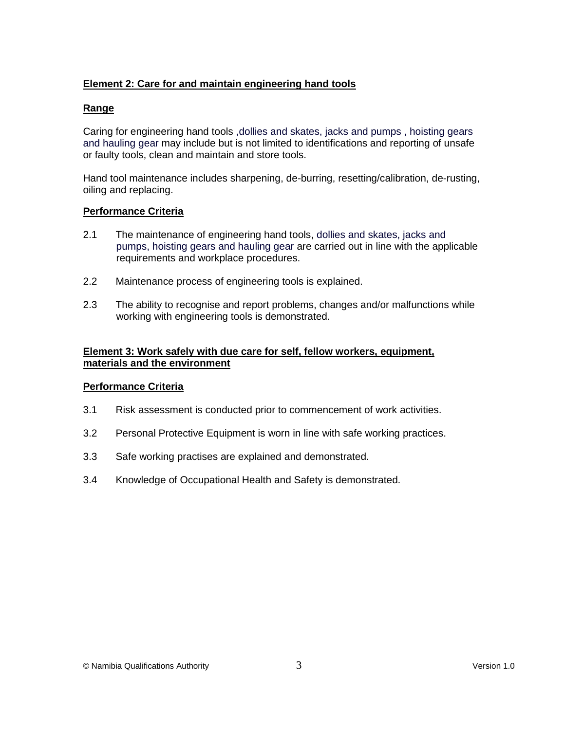# **Element 2: Care for and maintain engineering hand tools**

## **Range**

Caring for engineering hand tools ,dollies and skates, jacks and pumps , hoisting gears and hauling gear may include but is not limited to identifications and reporting of unsafe or faulty tools, clean and maintain and store tools.

Hand tool maintenance includes sharpening, de-burring, resetting/calibration, de-rusting, oiling and replacing.

#### **Performance Criteria**

- 2.1 The maintenance of engineering hand tools, dollies and skates, jacks and pumps, hoisting gears and hauling gear are carried out in line with the applicable requirements and workplace procedures.
- 2.2 Maintenance process of engineering tools is explained.
- 2.3 The ability to recognise and report problems, changes and/or malfunctions while working with engineering tools is demonstrated.

#### **Element 3: Work safely with due care for self, fellow workers, equipment, materials and the environment**

### **Performance Criteria**

- 3.1 Risk assessment is conducted prior to commencement of work activities.
- 3.2 Personal Protective Equipment is worn in line with safe working practices.
- 3.3 Safe working practises are explained and demonstrated.
- 3.4 Knowledge of Occupational Health and Safety is demonstrated.